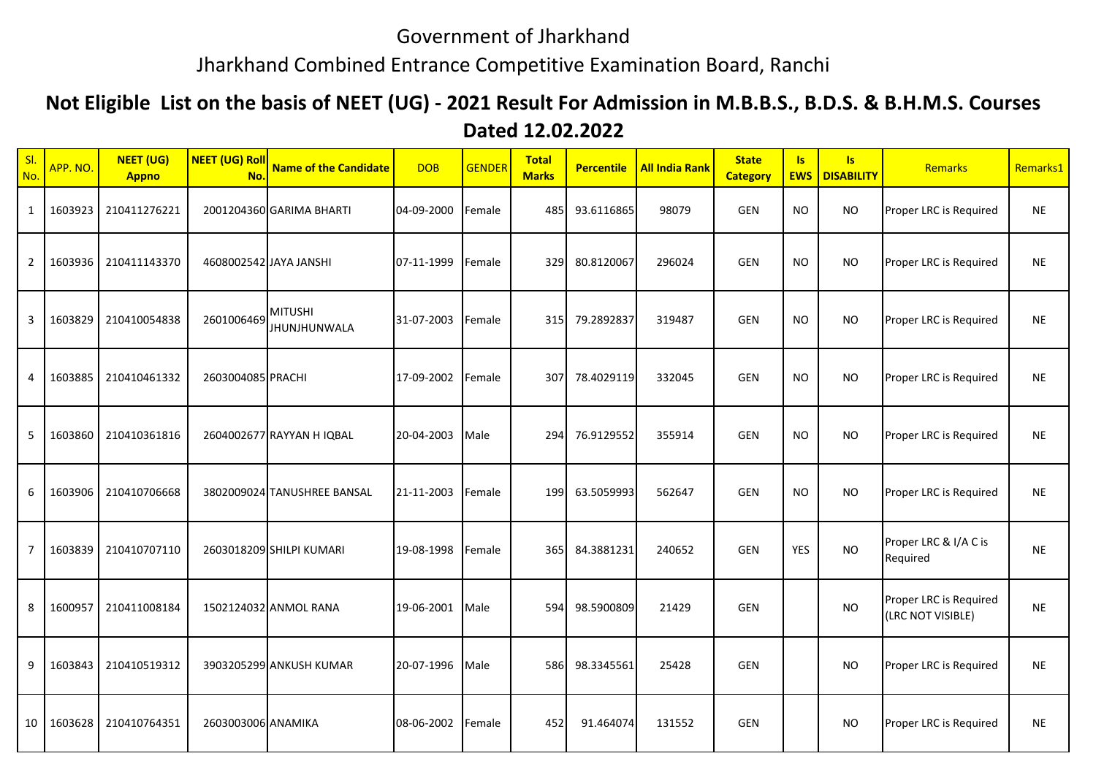## Government of Jharkhand

## Jharkhand Combined Entrance Competitive Examination Board, Ranchi

## **Not Eligible List on the basis of NEET (UG) - 2021 Result For Admission in M.B.B.S., B.D.S. & B.H.M.S. Courses Dated 12.02.2022**

| SI.<br>No.     | APP. NO.   | <b>NEET (UG)</b><br><b>Appno</b> | <b>NEET (UG) Roll</b><br>No. | <b>Name of the Candidate</b>   | <b>DOB</b> | <b>GENDER</b> | <b>Total</b><br><b>Marks</b> | <b>Percentile</b> | <b>All India Rank</b> | <b>State</b><br><b>Category</b> | <b>Is</b>  | Is:<br><b>EWS   DISABILITY</b> | Remarks                                     | Remarks1  |
|----------------|------------|----------------------------------|------------------------------|--------------------------------|------------|---------------|------------------------------|-------------------|-----------------------|---------------------------------|------------|--------------------------------|---------------------------------------------|-----------|
| $\mathbf{1}$   | 1603923    | 210411276221                     |                              | 2001204360 GARIMA BHARTI       | 04-09-2000 | Female        | 485                          | 93.6116865        | 98079                 | <b>GEN</b>                      | <b>NO</b>  | <b>NO</b>                      | Proper LRC is Required                      | <b>NE</b> |
| $\overline{2}$ | 1603936    | 210411143370                     |                              | 4608002542 JAYA JANSHI         | 07-11-1999 | Female        | 329                          | 80.8120067        | 296024                | <b>GEN</b>                      | NO         | <b>NO</b>                      | Proper LRC is Required                      | <b>NE</b> |
| 3              | 1603829    | 210410054838                     | 2601006469                   | <b>MITUSHI</b><br>JHUNJHUNWALA | 31-07-2003 | Female        | 315                          | 79.2892837        | 319487                | <b>GEN</b>                      | <b>NO</b>  | <b>NO</b>                      | Proper LRC is Required                      | <b>NE</b> |
| 4              | 1603885    | 210410461332                     | 2603004085 PRACHI            |                                | 17-09-2002 | Female        | 307                          | 78.4029119        | 332045                | <b>GEN</b>                      | <b>NO</b>  | <b>NO</b>                      | Proper LRC is Required                      | <b>NE</b> |
| 5              | 1603860    | 210410361816                     |                              | 2604002677 RAYYAN H IQBAL      | 20-04-2003 | Male          |                              | 294 76.9129552    | 355914                | <b>GEN</b>                      | <b>NO</b>  | <b>NO</b>                      | Proper LRC is Required                      | <b>NE</b> |
| 6              | 1603906    | 210410706668                     |                              | 3802009024 TANUSHREE BANSAL    | 21-11-2003 | Female        | 199                          | 63.5059993        | 562647                | GEN                             | <b>NO</b>  | <b>NO</b>                      | Proper LRC is Required                      | <b>NE</b> |
| $\overline{7}$ | 1603839    | 210410707110                     |                              | 2603018209 SHILPI KUMARI       | 19-08-1998 | Female        | 365                          | 84.3881231        | 240652                | <b>GEN</b>                      | <b>YES</b> | <b>NO</b>                      | Proper LRC & I/A C is<br>Required           | <b>NE</b> |
| 8              | 1600957    | 210411008184                     |                              | 1502124032 ANMOL RANA          | 19-06-2001 | Male          | 594                          | 98.5900809        | 21429                 | <b>GEN</b>                      |            | <b>NO</b>                      | Proper LRC is Required<br>(LRC NOT VISIBLE) | <b>NE</b> |
| 9              | 1603843    | 210410519312                     |                              | 3903205299 ANKUSH KUMAR        | 20-07-1996 | Male          | 586                          | 98.3345561        | 25428                 | GEN                             |            | <b>NO</b>                      | Proper LRC is Required                      | <b>NE</b> |
|                | 10 1603628 | 210410764351                     | 2603003006 ANAMIKA           |                                | 08-06-2002 | Female        | 452                          | 91.464074         | 131552                | <b>GEN</b>                      |            | <b>NO</b>                      | Proper LRC is Required                      | <b>NE</b> |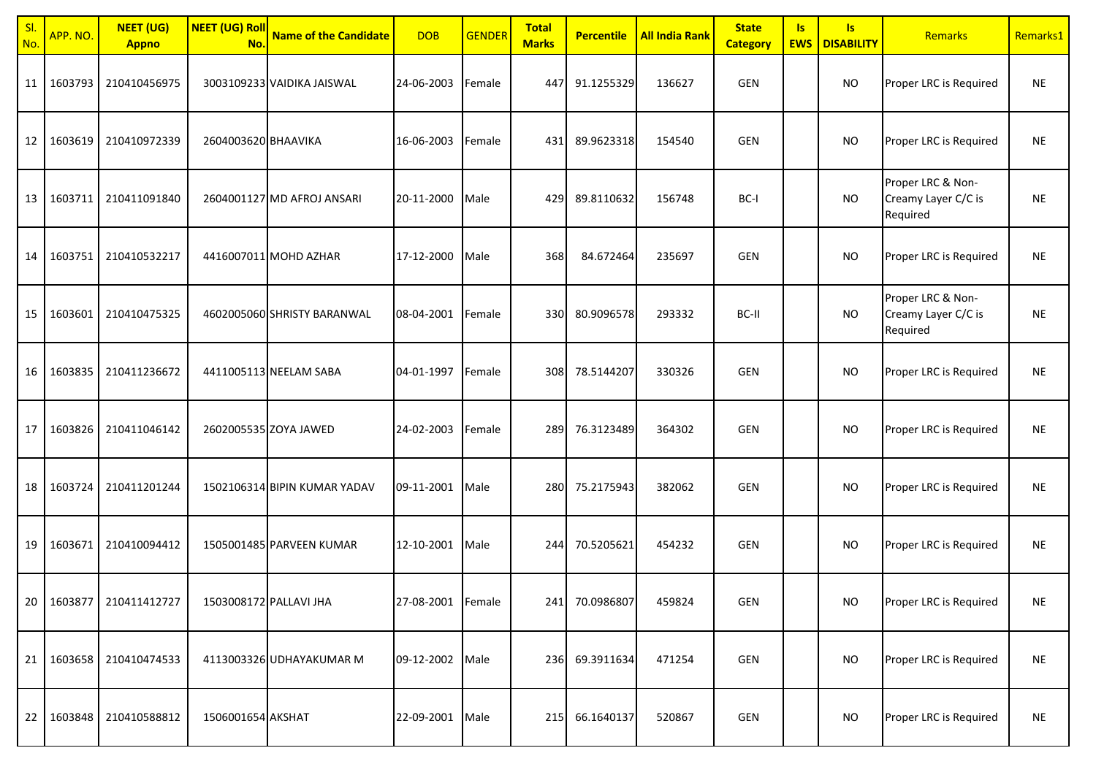| SI<br>No.       | APP. NO.   | <b>NEET (UG)</b><br><b>Appno</b> | <b>NEET (UG) Roll</b><br>No. | <b>Name of the Candidate</b> | <b>DOB</b>        | <b>GENDER</b> | <b>Total</b><br><b>Marks</b> | <b>Percentile</b> | <b>All India Rank</b> | <b>State</b><br><b>Category</b> | $\overline{\mathsf{S}}$<br><b>EWS</b> | $\overline{\mathsf{S}}$<br><b>DISABILITY</b> | Remarks                                              | Remarks1  |
|-----------------|------------|----------------------------------|------------------------------|------------------------------|-------------------|---------------|------------------------------|-------------------|-----------------------|---------------------------------|---------------------------------------|----------------------------------------------|------------------------------------------------------|-----------|
| 11 <sup>1</sup> | 1603793    | 210410456975                     |                              | 3003109233 VAIDIKA JAISWAL   | 24-06-2003        | Female        | 447                          | 91.1255329        | 136627                | GEN                             |                                       | <b>NO</b>                                    | Proper LRC is Required                               | <b>NE</b> |
| 12 <sub>1</sub> | 1603619    | 210410972339                     | 2604003620 BHAAVIKA          |                              | 16-06-2003        | Female        | 431                          | 89.9623318        | 154540                | GEN                             |                                       | <b>NO</b>                                    | Proper LRC is Required                               | <b>NE</b> |
|                 | 13 1603711 | 210411091840                     |                              | 2604001127 MD AFROJ ANSARI   | 20-11-2000        | Male          | 429                          | 89.8110632        | 156748                | BC-I                            |                                       | <b>NO</b>                                    | Proper LRC & Non-<br>Creamy Layer C/C is<br>Required | <b>NE</b> |
| 14              | 1603751    | 210410532217                     |                              | 4416007011 MOHD AZHAR        | 17-12-2000        | Male          | 368                          | 84.672464         | 235697                | GEN                             |                                       | <b>NO</b>                                    | Proper LRC is Required                               | <b>NE</b> |
| 15              | 1603601    | 210410475325                     |                              | 4602005060 SHRISTY BARANWAL  | 08-04-2001        | Female        | 330                          | 80.9096578        | 293332                | BC-II                           |                                       | <b>NO</b>                                    | Proper LRC & Non-<br>Creamy Layer C/C is<br>Required | <b>NE</b> |
|                 | 16 1603835 | 210411236672                     |                              | 4411005113 NEELAM SABA       | 04-01-1997        | Female        | 308                          | 78.5144207        | 330326                | <b>GEN</b>                      |                                       | <b>NO</b>                                    | Proper LRC is Required                               | <b>NE</b> |
| 17              | 1603826    | 210411046142                     |                              | 2602005535 ZOYA JAWED        | 24-02-2003        | Female        | 289                          | 76.3123489        | 364302                | GEN                             |                                       | <b>NO</b>                                    | Proper LRC is Required                               | <b>NE</b> |
| 18              | 1603724    | 210411201244                     |                              | 1502106314 BIPIN KUMAR YADAV | 09-11-2001        | Male          | 280                          | 75.2175943        | 382062                | GEN                             |                                       | <b>NO</b>                                    | Proper LRC is Required                               | <b>NE</b> |
| 19              | 1603671    | 210410094412                     |                              | 1505001485 PARVEEN KUMAR     | 12-10-2001        | Male          | 244                          | 70.5205621        | 454232                | GEN                             |                                       | <b>NO</b>                                    | Proper LRC is Required                               | <b>NE</b> |
|                 |            | 20 1603877 210411412727          | 1503008172 PALLAVI JHA       |                              | 27-08-2001 Female |               |                              | 241 70.0986807    | 459824                | GEN                             |                                       | <b>NO</b>                                    | Proper LRC is Required                               | <b>NE</b> |
|                 | 21 1603658 | 210410474533                     |                              | 4113003326 UDHAYAKUMAR M     | 09-12-2002        | Male          |                              | 236 69.3911634    | 471254                | GEN                             |                                       | <b>NO</b>                                    | Proper LRC is Required                               | <b>NE</b> |
|                 | 22 1603848 | 210410588812                     | 1506001654 AKSHAT            |                              | 22-09-2001        | Male          |                              | 215 66.1640137    | 520867                | GEN                             |                                       | <b>NO</b>                                    | Proper LRC is Required                               | <b>NE</b> |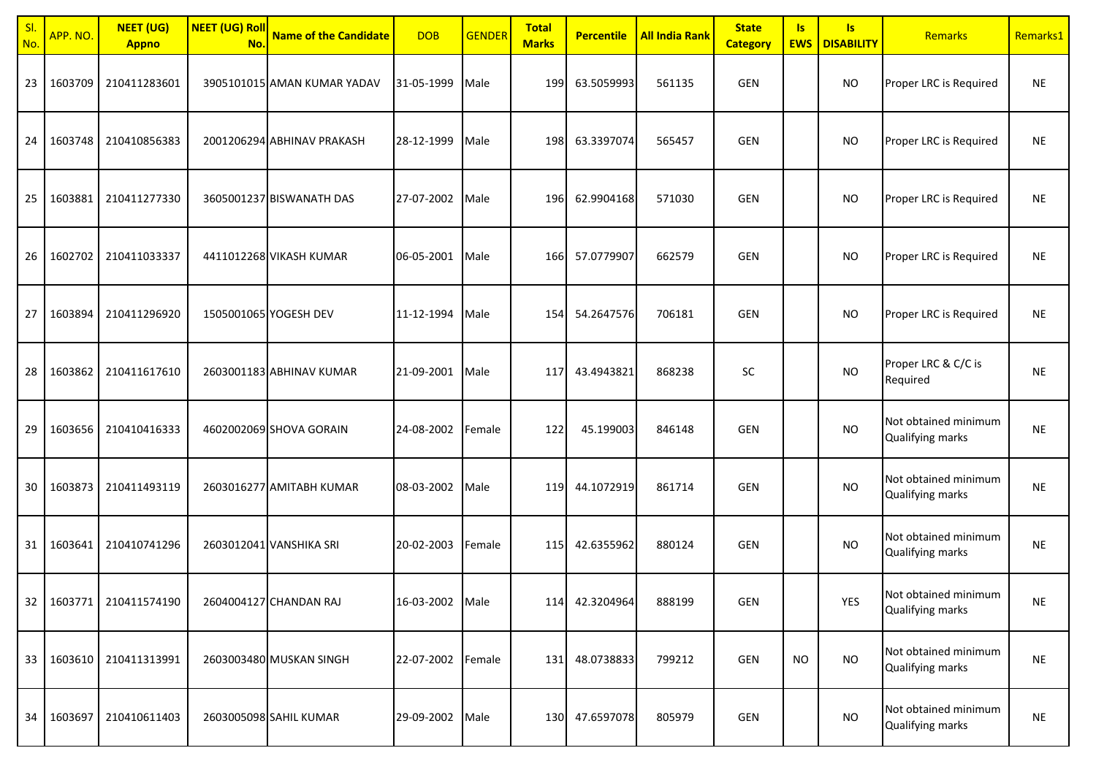| SI<br>No. | APP. NO.   | <b>NEET (UG)</b><br><b>Appno</b> | <b>NEET (UG) Roll</b><br>No. | <b>Name of the Candidate</b> | <b>DOB</b>      | <b>GENDER</b> | <b>Total</b><br><b>Marks</b> | <b>Percentile</b> | <b>All India Rank</b> | <b>State</b><br><b>Category</b> | $\overline{\mathsf{S}}$<br><b>EWS</b> | <b>Is</b><br><b>DISABILITY</b> | Remarks                                  | Remarks1  |
|-----------|------------|----------------------------------|------------------------------|------------------------------|-----------------|---------------|------------------------------|-------------------|-----------------------|---------------------------------|---------------------------------------|--------------------------------|------------------------------------------|-----------|
| 23        | 1603709    | 210411283601                     |                              | 3905101015 AMAN KUMAR YADAV  | 31-05-1999      | Male          | 199                          | 63.5059993        | 561135                | GEN                             |                                       | <b>NO</b>                      | Proper LRC is Required                   | <b>NE</b> |
| 24        | 1603748    | 210410856383                     |                              | 2001206294 ABHINAV PRAKASH   | 28-12-1999      | Male          | 198                          | 63.3397074        | 565457                | <b>GEN</b>                      |                                       | <b>NO</b>                      | Proper LRC is Required                   | <b>NE</b> |
| 25        | 1603881    | 210411277330                     |                              | 3605001237 BISWANATH DAS     | 27-07-2002      | Male          | 196                          | 62.9904168        | 571030                | GEN                             |                                       | <b>NO</b>                      | Proper LRC is Required                   | <b>NE</b> |
| 26        | 1602702    | 210411033337                     |                              | 4411012268 VIKASH KUMAR      | 06-05-2001      | Male          | 166                          | 57.0779907        | 662579                | GEN                             |                                       | <b>NO</b>                      | Proper LRC is Required                   | <b>NE</b> |
| 27        | 1603894    | 210411296920                     |                              | 1505001065 YOGESH DEV        | 11-12-1994      | Male          | 154                          | 54.2647576        | 706181                | GEN                             |                                       | <b>NO</b>                      | Proper LRC is Required                   | <b>NE</b> |
| 28        | 1603862    | 210411617610                     |                              | 2603001183 ABHINAV KUMAR     | 21-09-2001      | Male          | 117                          | 43.4943821        | 868238                | SC                              |                                       | <b>NO</b>                      | Proper LRC & C/C is<br>Required          | <b>NE</b> |
| 29        | 1603656    | 210410416333                     |                              | 4602002069 SHOVA GORAIN      | 24-08-2002      | Female        | 122                          | 45.199003         | 846148                | <b>GEN</b>                      |                                       | <b>NO</b>                      | Not obtained minimum<br>Qualifying marks | <b>NE</b> |
| 30        | 1603873    | 210411493119                     |                              | 2603016277 AMITABH KUMAR     | 08-03-2002      | Male          | 119                          | 44.1072919        | 861714                | GEN                             |                                       | <b>NO</b>                      | Not obtained minimum<br>Qualifying marks | <b>NE</b> |
| 31 I      | 1603641    | 210410741296                     |                              | 2603012041 VANSHIKA SRI      | 20-02-2003      | Female        | 115                          | 42.6355962        | 880124                | <b>GEN</b>                      |                                       | <b>NO</b>                      | Not obtained minimum<br>Qualifying marks | <b>NE</b> |
|           |            | 32   1603771   210411574190      |                              | 2604004127 CHANDAN RAJ       | 16-03-2002 Male |               |                              | 114 42.3204964    | 888199                | GEN                             |                                       | YES                            | Not obtained minimum<br>Qualifying marks | $\sf NE$  |
|           | 33 1603610 | 210411313991                     |                              | 2603003480 MUSKAN SINGH      | 22-07-2002      | Female        |                              | 131 48.0738833    | 799212                | GEN                             | <b>NO</b>                             | <b>NO</b>                      | Not obtained minimum<br>Qualifying marks | <b>NE</b> |
| 34        | 1603697    | 210410611403                     |                              | 2603005098 SAHIL KUMAR       | 29-09-2002      | Male          |                              | 130 47.6597078    | 805979                | GEN                             |                                       | <b>NO</b>                      | Not obtained minimum<br>Qualifying marks | <b>NE</b> |